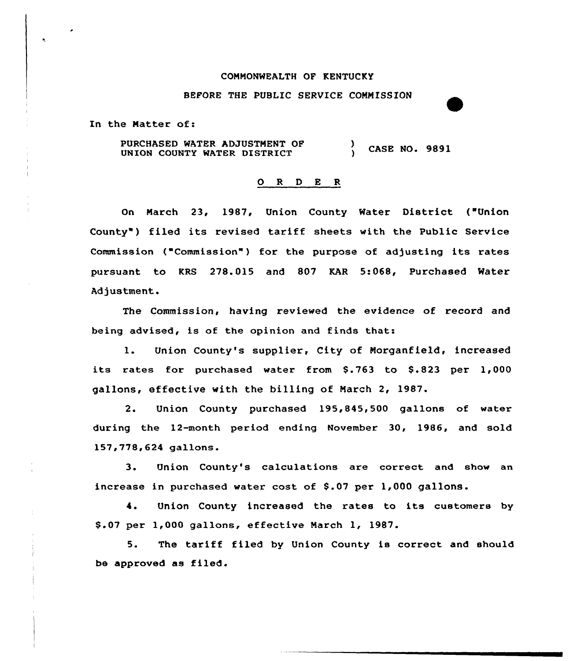#### COMMONWEALTH OF KENTUCKY

#### BEFORE THE PUBLIC SERVICE COMMISSION

In the Matter of:

PURCHASED WATER ADJUSTMENT OF UNION COUNTY WATER DISTRICT ) CASE NO. 9891

#### O R D E R

On March 23, 1987, Union County Water District ("Union County") filed its revised tariff sheets with the Public Service Commission ("Commission" ) for the purpose of adjusting its rates pursuant to KRS 278.015 and 807 KAR 5:068, Purchased Water Adjustment.

The Commission, having reviewed the evidence of record and being advised, is of the opinion and finds that:

l. Union County's supplier, City of Morganfield, increased its rates for purchased water from \$.763 to \$.823 per 1,000 gallons, effective with the billing of March 2, 1987.

2. Union County purchased 195,845,500 gallons of water during the 12-month period ending November 30, 1986, and sold 157,778,624 gallons.

3. Union County's calculations are correct and show an increase in purchased water cost of \$.07 per 1,000 gallons.

4. Union County increased the rates to its customers by \$ .07 per 1,000 gallons, effective March 1, 1987.

5. The tariff filed by Union County is correct and should be approved as filed.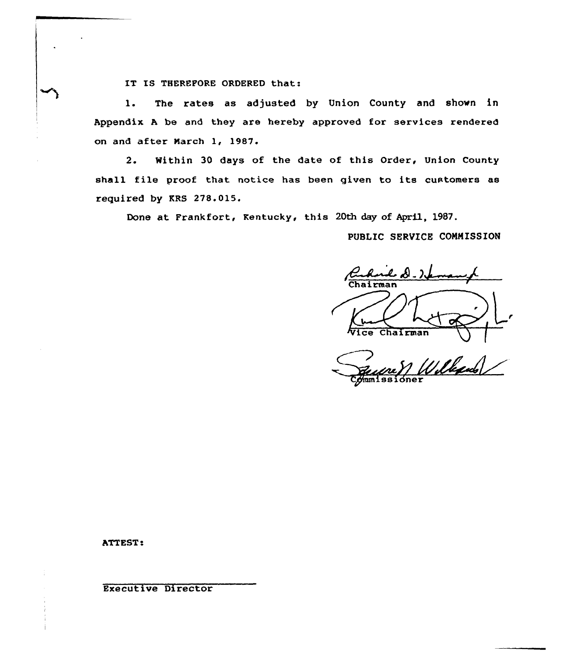IT IS THEREFORE ORDERED that:

1. The rates as adjusted by Union County and shown in Appendix <sup>A</sup> be and they are hereby approved for services rendered on and after Narch 1, 1987.

2. Within 30 days of the date of this Order, Union County shall file proof that notice has been given to its customers as required by KRS 278.015.

Done at Frankfort, Kentucky, this 20th day of April, 1987.

PUBLIC SERVICE COMMISSION

 $\boldsymbol{\ell}$  b). Vice Chairman

Wille  $C<sub>pmm1</sub>$ ssione

ATTEST .

Executive Director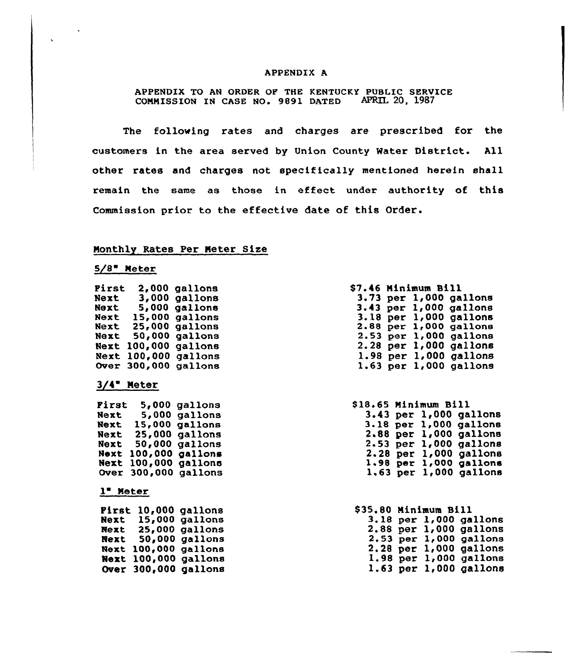## APPENDIX A

APPENDIX TO AN ORDER OF THE KENTUCKY PUBLIC SERVICE COMMISSION IN CASE NO. 9891 DATED APRIL 20, 1987

The following rates and charges are prescribed for the customers in the area served by Union County Water District. All other rates and charges not specifically mentioned herein shall remain the same as those in effect under authority of this Commission prior to the effective date of this Order.

# Monthly Rates Per Meter Size

 $5/8$  Meter

| Pirst       | 2.000         | gallons        |
|-------------|---------------|----------------|
|             |               |                |
| Next        | 3,000         | <b>gallons</b> |
| Next        | 5,000         | gallons        |
| Next        | <b>15,000</b> | gallons        |
| Next        | 25,000        | gallons        |
| Next        | 50,000        | gallons        |
| Next        | 100,000       | gallons        |
| Next        | 100,000       | gallons        |
| <b>Over</b> | 300,000       | gallons        |
|             |               |                |

# $3/4$  Meter

| First       | 5,000         | gallons        |
|-------------|---------------|----------------|
| Next        | 5,000         | <b>gallons</b> |
| Next        | <b>15,000</b> | gallons        |
| Next        | 25,000        | gallons        |
| Next        | 50,000        | gallons        |
| Noxt        | 100,000       | gallons        |
| Next        | 100,000       | gallons        |
| <b>Over</b> | 300,000       | gallons        |
|             |               |                |

### 1 Meter

| Pirst       | 10,000  | gallons        |
|-------------|---------|----------------|
| Next        | 15,000  | gallons        |
| Next        | 25,000  | <b>gallons</b> |
| Next        | 50,000  | gallons        |
| Next        | 100,000 | gallons        |
| Next        | 100,000 | gallons        |
| <b>Over</b> | 300,000 | gallons        |

|  | <b>\$7.46 Minimum Bill</b> |                            |
|--|----------------------------|----------------------------|
|  |                            | $3.73$ per $1,000$ gallons |
|  |                            | $3.43$ per $1,000$ gallons |
|  |                            | $3.18$ per $1,000$ gallons |
|  |                            | 2.88 per 1,000 gallons     |
|  |                            | 2.53 per 1,000 gallons     |
|  |                            | 2.28 per 1,000 gallons     |
|  |                            | $1.98$ per $1,000$ gallons |
|  |                            | $1.63$ per $1,000$ gallons |

| \$18.65 Minimum Bill |  |                            |
|----------------------|--|----------------------------|
|                      |  | $3.43$ per $1,000$ gallons |
|                      |  | 3.18 per 1,000 gallons     |
|                      |  | $2.88$ per $1,000$ gallons |
|                      |  | $2.53$ per $1,000$ gallons |
|                      |  | $2.28$ per $1,000$ gallons |
|                      |  | $1.98$ per $1,000$ gallons |
|                      |  | $1.63$ per $1,000$ gallons |
|                      |  |                            |

| \$35.80 Minimum Bill |  |                            |
|----------------------|--|----------------------------|
|                      |  | 3.18 per 1,000 gallons     |
|                      |  | 2.88 per 1,000 gallons     |
|                      |  | $2.53$ per $1,000$ gallons |
|                      |  | $2.28$ per $1,000$ gallons |
|                      |  | 1.98 per 1,000 gallons     |
|                      |  | $1.63$ per $1,000$ gallons |